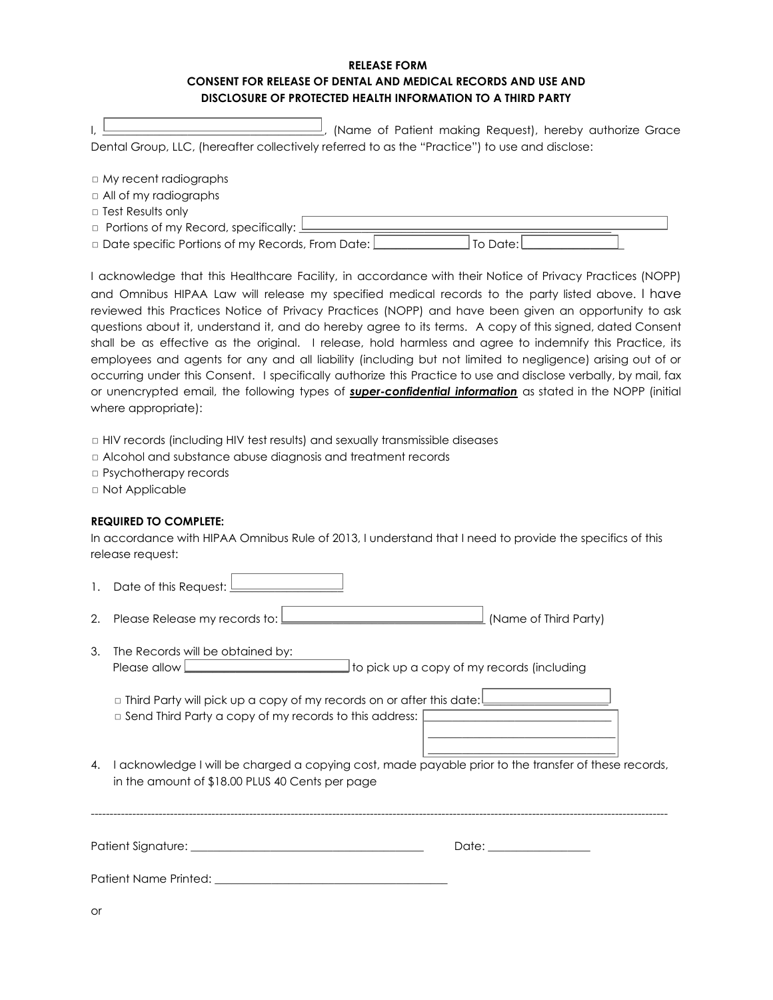## **RELEASE FORM CONSENT FOR RELEASE OF DENTAL AND MEDICAL RECORDS AND USE AND DISCLOSURE OF PROTECTED HEALTH INFORMATION TO A THIRD PARTY**

|                                                                                                | (Name of Patient making Request), hereby authorize Grace |  |  |  |
|------------------------------------------------------------------------------------------------|----------------------------------------------------------|--|--|--|
| Dental Group, LLC, (hereafter collectively referred to as the "Practice") to use and disclose: |                                                          |  |  |  |

| $\Box$ My recent radiographs                         |            |
|------------------------------------------------------|------------|
| $\Box$ All of my radiographs                         |            |
| $\Box$ Test Results only                             |            |
| $\Box$ Portions of my Record, specifically: $\bot$   |            |
| □ Date specific Portions of my Records, From Date: [ | To Date: I |

I acknowledge that this Healthcare Facility, in accordance with their Notice of Privacy Practices (NOPP) and Omnibus HIPAA Law will release my specified medical records to the party listed above. I have reviewed this Practices Notice of Privacy Practices (NOPP) and have been given an opportunity to ask questions about it, understand it, and do hereby agree to its terms. A copy of this signed, dated Consent shall be as effective as the original. I release, hold harmless and agree to indemnify this Practice, its employees and agents for any and all liability (including but not limited to negligence) arising out of or occurring under this Consent. I specifically authorize this Practice to use and disclose verbally, by mail, fax or unencrypted email, the following types of *super-confidential information* as stated in the NOPP (initial where appropriate):

◻ HIV records (including HIV test results) and sexually transmissible diseases

- ◻ Alcohol and substance abuse diagnosis and treatment records
- ◻ Psychotherapy records
- ◻ Not Applicable

## **REQUIRED TO COMPLETE:**

In accordance with HIPAA Omnibus Rule of 2013, I understand that I need to provide the specifics of this release request:

- 1. Date of this Request:  $\frac{1}{2}$
- 2. Please Release my records to:  $\bigsqcup$  [Name of Third Party]
- 3. The Records will be obtained by: Please allow **EXECUTE:** The pick up a copy of my records (including

| $\Box$ Third Party will pick up a copy of my records on or after this date: |  |
|-----------------------------------------------------------------------------|--|
| $\Box$ Send Third Party a copy of my records to this address: $\Box$        |  |
|                                                                             |  |

4. I acknowledge I will be charged a copying cost, made payable prior to the transfer of these records, in the amount of \$18.00 PLUS 40 Cents per page

\_\_\_\_\_\_\_\_\_\_\_\_\_\_\_\_\_\_\_\_\_\_\_\_\_\_\_\_\_\_\_\_\_

| Patient Signature: _  | Date: |
|-----------------------|-------|
| Patient Name Printed: |       |

or